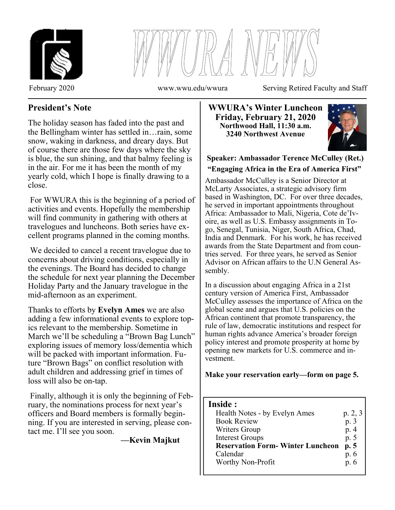



February 2020 www.wwu.edu/wwura Serving Retired Faculty and Staff

# **President's Note**

The holiday season has faded into the past and the Bellingham winter has settled in…rain, some snow, waking in darkness, and dreary days. But of course there are those few days where the sky is blue, the sun shining, and that balmy feeling is in the air. For me it has been the month of my yearly cold, which I hope is finally drawing to a close.

 For WWURA this is the beginning of a period of activities and events. Hopefully the membership will find community in gathering with others at travelogues and luncheons. Both series have excellent programs planned in the coming months.

 We decided to cancel a recent travelogue due to concerns about driving conditions, especially in the evenings. The Board has decided to change the schedule for next year planning the December Holiday Party and the January travelogue in the mid-afternoon as an experiment.

Thanks to efforts by **Evelyn Ames** we are also adding a few informational events to explore topics relevant to the membership. Sometime in March we'll be scheduling a "Brown Bag Lunch" exploring issues of memory loss/dementia which will be packed with important information. Future "Brown Bags" on conflict resolution with adult children and addressing grief in times of loss will also be on-tap.

 Finally, although it is only the beginning of February, the nominations process for next year's officers and Board members is formally beginning. If you are interested in serving, please contact me. I'll see you soon.

**—Kevin Majkut**

**WWURA's Winter Luncheon Friday, February 21, 2020 Northwood Hall, 11:30 a.m. 3240 Northwest Avenue** 



# **Speaker: Ambassador Terence McCulley (Ret.) "Engaging Africa in the Era of America First"**

Ambassador McCulley is a Senior Director at McLarty Associates, a strategic advisory firm based in Washington, DC. For over three decades, he served in important appointments throughout Africa: Ambassador to Mali, Nigeria, Cote de'Ivoire, as well as U.S. Embassy assignments in Togo, Senegal, Tunisia, Niger, South Africa, Chad, India and Denmark. For his work, he has received awards from the State Department and from countries served. For three years, he served as Senior Advisor on African affairs to the U.N General Assembly.

In a discussion about engaging Africa in a 21st century version of America First, Ambassador McCulley assesses the importance of Africa on the global scene and argues that U.S. policies on the African continent that promote transparency, the rule of law, democratic institutions and respect for human rights advance America's broader foreign policy interest and promote prosperity at home by opening new markets for U.S. commerce and investment.

**Make your reservation early—form on page 5.** 

## **Inside :**

| $\blacksquare$                          |         |
|-----------------------------------------|---------|
| Health Notes - by Evelyn Ames           | p. 2, 3 |
| <b>Book Review</b>                      | p. 3    |
| <b>Writers Group</b>                    | p. 4    |
| <b>Interest Groups</b>                  | p. 5    |
| <b>Reservation Form-Winter Luncheon</b> | p. 5    |
| Calendar                                | p. 6    |
| Worthy Non-Profit                       | p. 6    |
|                                         |         |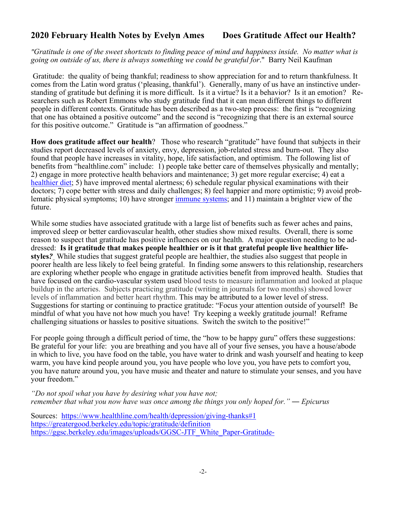# **2020 February Health Notes by Evelyn Ames Does Gratitude Affect our Health?**

*"Gratitude is one of the sweet shortcuts to finding peace of mind and happiness inside. No matter what is going on outside of us, there is always something we could be grateful for*." Barry Neil Kaufman

 Gratitude: the quality of being thankful; readiness to show appreciation for and to return thankfulness. It comes from the Latin word gratus ('pleasing, thankful'). Generally, many of us have an instinctive understanding of gratitude but defining it is more difficult. Is it a virtue? Is it a behavior? Is it an emotion? Researchers such as Robert Emmons who study gratitude find that it can mean different things to different people in different contexts. Gratitude has been described as a two-step process: the first is "recognizing that one has obtained a positive outcome" and the second is "recognizing that there is an external source for this positive outcome." Gratitude is "an affirmation of goodness."

**How does gratitude affect our health**? Those who research "gratitude" have found that subjects in their studies report decreased levels of anxiety, envy, depression, job-related stress and burn-out. They also found that people have increases in vitality, hope, life satisfaction, and optimism. The following list of benefits from "healthline.com" include: 1) people take better care of themselves physically and mentally; 2) engage in more protective health behaviors and maintenance; 3) get more regular exercise; 4) eat a healthier diet; 5) have improved mental alertness; 6) schedule regular physical examinations with their doctors; 7) cope better with stress and daily challenges; 8) feel happier and more optimistic; 9) avoid problematic physical symptoms; 10) have stronger immune systems; and 11) maintain a brighter view of the future.

While some studies have associated gratitude with a large list of benefits such as fewer aches and pains, improved sleep or better cardiovascular health, other studies show mixed results. Overall, there is some reason to suspect that gratitude has positive influences on our health. A major question needing to be addressed: **Is it gratitude that makes people healthier or is it that grateful people live healthier lifestyles***?* While studies that suggest grateful people are healthier, the studies also suggest that people in poorer health are less likely to feel being grateful. In finding some answers to this relationship, researchers are exploring whether people who engage in gratitude activities benefit from improved health. Studies that have focused on the cardio-vascular system used blood tests to measure inflammation and looked at plaque buildup in the arteries. Subjects practicing gratitude (writing in journals for two months) showed lower levels of inflammation and better heart rhythm. This may be attributed to a lower level of stress. Suggestions for starting or continuing to practice gratitude: "Focus your attention outside of yourself! Be mindful of what you have not how much you have! Try keeping a weekly gratitude journal! Reframe challenging situations or hassles to positive situations. Switch the switch to the positive!"

For people going through a difficult period of time, the "how to be happy guru" offers these suggestions: Be grateful for your life: you are breathing and you have all of your five senses, you have a house/abode in which to live, you have food on the table, you have water to drink and wash yourself and heating to keep warm, you have kind people around you, you have people who love you, you have pets to comfort you, you have nature around you, you have music and theater and nature to stimulate your senses, and you have your freedom."

*"Do not spoil what you have by desiring what you have not; remember that what you now have was once among the things you only hoped for."* ― *Epicurus* 

Sources: https://www.healthline.com/health/depression/giving-thanks#1 https://greatergood.berkeley.edu/topic/gratitude/definition https://ggsc.berkeley.edu/images/uploads/GGSC-JTF\_White\_Paper-Gratitude-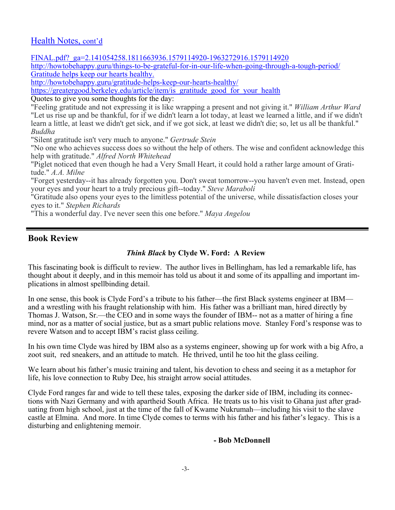## Health Notes, cont'd

FINAL.pdf?\_ga=2.141054258.1811663936.1579114920-1963272916.1579114920

http://howtobehappy.guru/things-to-be-grateful-for-in-our-life-when-going-through-a-tough-period/ Gratitude helps keep our hearts healthy.

http://howtobehappy.guru/gratitude-helps-keep-our-hearts-healthy/

https://greatergood.berkeley.edu/article/item/is\_gratitude\_good\_for\_your\_health

Quotes to give you some thoughts for the day:

"Feeling gratitude and not expressing it is like wrapping a present and not giving it." *William Arthur Ward* "Let us rise up and be thankful, for if we didn't learn a lot today, at least we learned a little, and if we didn't learn a little, at least we didn't get sick, and if we got sick, at least we didn't die; so, let us all be thankful." *Buddha*

"Silent gratitude isn't very much to anyone." *Gertrude Stein*

"No one who achieves success does so without the help of others. The wise and confident acknowledge this help with gratitude." *Alfred North Whitehead*

"Piglet noticed that even though he had a Very Small Heart, it could hold a rather large amount of Gratitude." *A.A. Milne*

"Forget yesterday--it has already forgotten you. Don't sweat tomorrow--you haven't even met. Instead, open your eyes and your heart to a truly precious gift--today." *Steve Maraboli*

"Gratitude also opens your eyes to the limitless potential of the universe, while dissatisfaction closes your eyes to it." *Stephen Richards*

"This a wonderful day. I've never seen this one before." *Maya Angelou*

## **Book Review**

## *Think Black* **by Clyde W. Ford: A Review**

This fascinating book is difficult to review. The author lives in Bellingham, has led a remarkable life, has thought about it deeply, and in this memoir has told us about it and some of its appalling and important implications in almost spellbinding detail.

In one sense, this book is Clyde Ford's a tribute to his father—the first Black systems engineer at IBM and a wrestling with his fraught relationship with him. His father was a brilliant man, hired directly by Thomas J. Watson, Sr.—the CEO and in some ways the founder of IBM-- not as a matter of hiring a fine mind, nor as a matter of social justice, but as a smart public relations move. Stanley Ford's response was to revere Watson and to accept IBM's racist glass ceiling.

In his own time Clyde was hired by IBM also as a systems engineer, showing up for work with a big Afro, a zoot suit, red sneakers, and an attitude to match. He thrived, until he too hit the glass ceiling.

We learn about his father's music training and talent, his devotion to chess and seeing it as a metaphor for life, his love connection to Ruby Dee, his straight arrow social attitudes.

Clyde Ford ranges far and wide to tell these tales, exposing the darker side of IBM, including its connections with Nazi Germany and with apartheid South Africa. He treats us to his visit to Ghana just after graduating from high school, just at the time of the fall of Kwame Nukrumah—including his visit to the slave castle at Elmina. And more. In time Clyde comes to terms with his father and his father's legacy. This is a disturbing and enlightening memoir.

#### **- Bob McDonnell**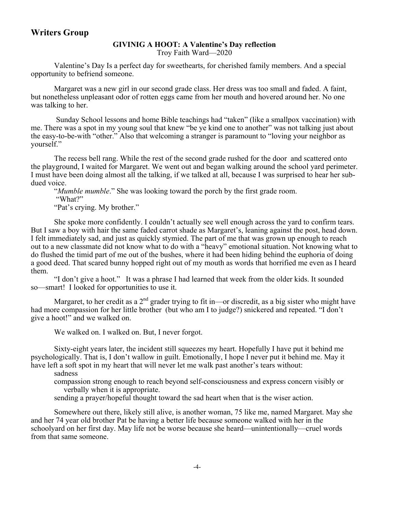#### **GIVINIG A HOOT: A Valentine's Day reflection**  Troy Faith Ward—2020

 Valentine's Day Is a perfect day for sweethearts, for cherished family members. And a special opportunity to befriend someone.

 Margaret was a new girl in our second grade class. Her dress was too small and faded. A faint, but nonetheless unpleasant odor of rotten eggs came from her mouth and hovered around her. No one was talking to her.

 Sunday School lessons and home Bible teachings had "taken" (like a smallpox vaccination) with me. There was a spot in my young soul that knew "be ye kind one to another" was not talking just about the easy-to-be-with "other." Also that welcoming a stranger is paramount to "loving your neighbor as yourself."

 The recess bell rang. While the rest of the second grade rushed for the door and scattered onto the playground, I waited for Margaret. We went out and began walking around the school yard perimeter. I must have been doing almost all the talking, if we talked at all, because I was surprised to hear her subdued voice.

"*Mumble mumble*." She was looking toward the porch by the first grade room.

 "What?" "Pat's crying. My brother."

 She spoke more confidently. I couldn't actually see well enough across the yard to confirm tears. But I saw a boy with hair the same faded carrot shade as Margaret's, leaning against the post, head down. I felt immediately sad, and just as quickly stymied. The part of me that was grown up enough to reach out to a new classmate did not know what to do with a "heavy" emotional situation. Not knowing what to do flushed the timid part of me out of the bushes, where it had been hiding behind the euphoria of doing a good deed. That scared bunny hopped right out of my mouth as words that horrified me even as I heard them.

 "I don't give a hoot." It was a phrase I had learned that week from the older kids. It sounded so—smart! I looked for opportunities to use it.

Margaret, to her credit as a  $2<sup>nd</sup>$  grader trying to fit in—or discredit, as a big sister who might have had more compassion for her little brother (but who am I to judge?) snickered and repeated. "I don't give a hoot!" and we walked on.  $\ddot{\phantom{0}}$ 

We walked on. I walked on. But, I never forgot.

 Sixty-eight years later, the incident still squeezes my heart. Hopefully I have put it behind me psychologically. That is, I don't wallow in guilt. Emotionally, I hope I never put it behind me. May it have left a soft spot in my heart that will never let me walk past another's tears without:

sadness

 compassion strong enough to reach beyond self-consciousness and express concern visibly or verbally when it is appropriate.

sending a prayer/hopeful thought toward the sad heart when that is the wiser action.

 Somewhere out there, likely still alive, is another woman, 75 like me, named Margaret. May she and her 74 year old brother Pat be having a better life because someone walked with her in the schoolyard on her first day. May life not be worse because she heard—unintentionally—cruel words from that same someone.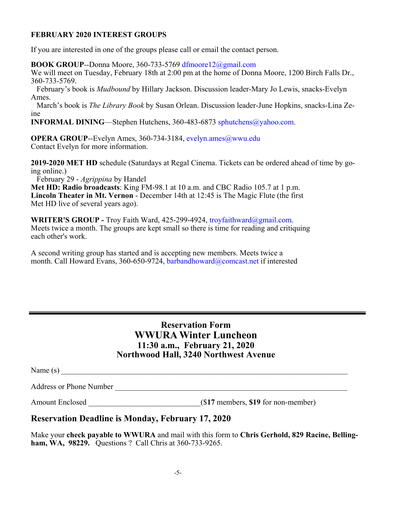## **FEBRUARY 2020 INTEREST GROUPS**

If you are interested in one of the groups please call or email the contact person.

**BOOK GROUP**--Donna Moore, 360-733-5769 dfmoore12@gmail.com

We will meet on Tuesday, February 18th at 2:00 pm at the home of Donna Moore, 1200 Birch Falls Dr., 360-733-5769.

 February's book is *Mudbound* by Hillary Jackson. Discussion leader-Mary Jo Lewis, snacks-Evelyn Ames.

 March's book is *The Library Book* by Susan Orlean. Discussion leader-June Hopkins, snacks-Lina Zeine

**INFORMAL DINING**—Stephen Hutchens, 360-483-6873 sphutchens@yahoo.com.

**OPERA GROUP--Evelyn Ames, 360-734-3184, evelyn.ames@wwu.edu** Contact Evelyn for more information.

**2019-2020 MET HD** schedule (Saturdays at Regal Cinema. Tickets can be ordered ahead of time by going online.)

February 29 - *Agrippina* by Handel

**Met HD: Radio broadcasts**: King FM-98.1 at 10 a.m. and CBC Radio 105.7 at 1 p.m. **Lincoln Theater in Mt. Vernon** - December 14th at 12:45 is The Magic Flute (the first Met HD live of several years ago).

**WRITER'S GROUP - Troy Faith Ward, 425-299-4924, troyfaithward@gmail.com.** Meets twice a month. The groups are kept small so there is time for reading and critiquing each other's work.

A second writing group has started and is accepting new members. Meets twice a month. Call Howard Evans, 360-650-9724, barbandhoward@comcast.net if interested

## **Reservation Form WWURA Winter Luncheon 11:30 a.m., February 21, 2020 Northwood Hall, 3240 Northwest Avenue**

| Name (s)                       |  |  |
|--------------------------------|--|--|
| <b>Address or Phone Number</b> |  |  |

Amount Enclosed  $(17 \text{ members}, 19 \text{ for non-member})$ 

# **Reservation Deadline is Monday, February 17, 2020**

Make your **check payable to WWURA** and mail with this form to **Chris Gerhold, 829 Racine, Bellingham, WA, 98229.** Questions ? Call Chris at 360-733-9265.